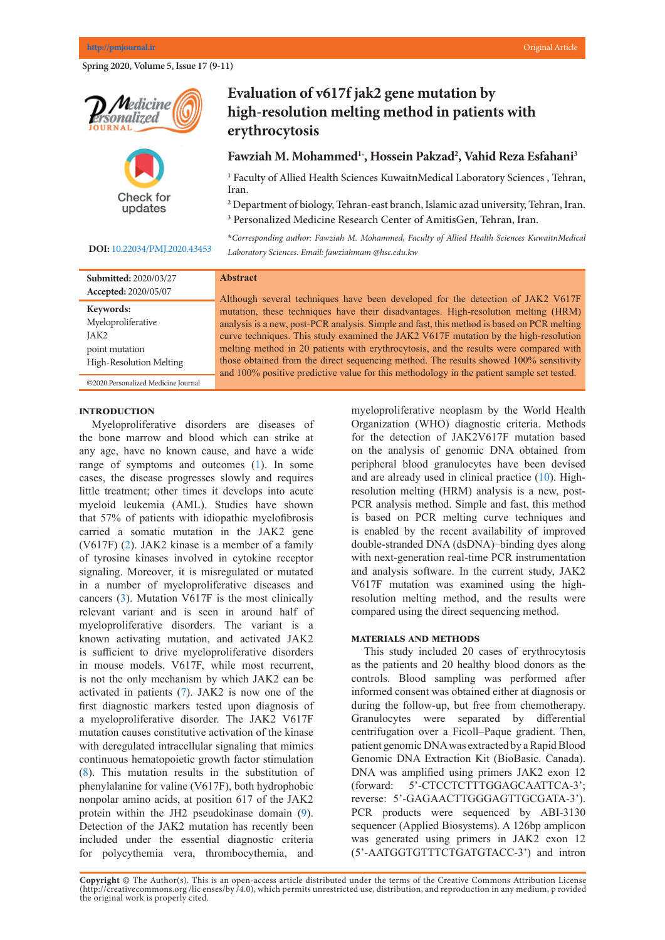**Spring 2020, Volume 5, Issue 17 (9-11)** 





## **DOI:** [10.22034/PMJ.2020.43453](http://www.pmjournal.ir/article_43453.html)

## **Evaluation of v617f jak2 gene mutation by** high-resolution melting method in patients with **example in patients** with **erythrocytosis**

# Fawziah M. Mohammed<sup>1</sup><sup>\*</sup>, Hossein Pakzad<sup>2</sup>, Vahid Reza Esfahani<sup>3</sup>

<sup>1</sup> Faculty of Allied Health Sciences KuwaitnMedical Laboratory Sciences , Tehran, Iran.

*\*Corresponding author: Mohammad Ali Saremi, Personalized Medicine Research*  **2** Department of biology, Tehran-east branch, Islamic azad university, Tehran, Iran. <sup>3</sup> Personalized Medicine Research Center of AmitisGen, Tehran, Iran.

**Abstract** *Laboratory Sciences. Email: fawziahmam @hsc.edu.kw* **\****Corresponding author: Fawziah M. Mohammed, Faculty of Allied Health Sciences KuwaitnMedical* 

Lung cancer is the deadliest cancer in Iran after gastric cancer. The vast majority (85%)

| Submitted: 2020/03/27               |
|-------------------------------------|
| Accepted: 2020/05/07                |
| Keywords:                           |
| Myeloproliferative                  |
| JAK <sub>2</sub>                    |
| point mutation                      |
| High-Resolution Melting             |
| ©2020.Personalized Medicine Journal |

#### **Abstract**  $\Delta$ bstract $\alpha$

Although several techniques have been developed for the detection of JAK2 V617F mutation, these techniques have their disadvantages. High-resolution melting (HRM) analysis is a new, post-PCR analysis. Simple and fast, this method is based on PCR melting curve techniques. This study examined the JAK2 V617F mutation by the high-resolution melting method in 20 patients with erythrocytosis, and the results were compared with those obtained from the direct sequencing method. The results showed 100% sensitivity and 100% positive predictive value for this methodology in the patient sample set tested.

in codon 12. No significant relationship was not found between age (P = 0.43) and

#### **Introduction**

Myeloproliferative disorders are diseases of the bone marrow and blood which can strike at for the dete any age, have no known cause, and have a wide range of symptoms and outcomes [\(1](#page-1-0)). In some cases, the disease progresses slowly and requires little treatment; other times it develops into acute myeloid leukemia (AML). Studies have shown that 57% of patients with idiopathic myelofibrosis carried a somatic mutation in the JAK2 gene (V617F)  $(2)$  $(2)$ . JAK2 kinase is a member of a family of tyrosine kinases involved in cytokine receptor signaling. Moreover, it is misregulated or mutated in a number of myeloproliferative diseases and cancers  $(3)$  $(3)$ . Mutation V617F is the most clinically relevant variant and is seen in around half of myeloproliferative disorders. The variant is a known activating mutation, and activated JAK2 is sufficient to drive myeloproliferative disorders in mouse models. V617F, while most recurrent, is not the only mechanism by which JAK2 can be activated in patients  $(7)$  $(7)$ . JAK2 is now one of the first diagnostic markers tested upon diagnosis of a myeloproliferative disorder. The JAK2 V617F mutation causes constitutive activation of the kinase with deregulated intracellular signaling that mimics continuous hematopoietic growth factor stimulation  $(8)$  $(8)$ . This mutation results in the substitution of phenylalanine for valine (V617F), both hydrophobic nonpolar amino acids, at position 617 of the JAK2 protein within the JH2 pseudokinase domain  $(9)$  $(9)$ . Detection of the JAK2 mutation has recently been included under the essential diagnostic criteria for polycythemia vera, thrombocythemia, and

myeloproliferative neoplasm by the World Health myeropromerative heopiasin by the world Health<br>ers are diseases of Organization (WHO) diagnostic criteria. Methods for the detection of JAK2V617F mutation based on the analysis of genomic DNA obtained from peripheral blood granulocytes have been devised and are already used in clinical practice [\(10](#page-1-0)). Highresolution melting (HRM) analysis is a new, post-PCR analysis method. Simple and fast, this method is based on PCR melting curve techniques and is enabled by the recent availability of improved double-stranded DNA (dsDNA)–binding dyes along with next-generation real-time PCR instrumentation and analysis software. In the current study, JAK2 V617F mutation was examined using the highresolution melting method, and the results were compared using the direct sequencing method.  $\frac{m}{\sin \theta}$  and  $\frac{m}{\sin \theta}$  on  $\frac{m}{\sin \theta}$  or the treatment process can help the treatment process can help the treatment process can help the treatment process can help the treatment process can help the treatment pro

### **MATERIALS AND METHODS**

This study included 20 cases of erythrocytosis as the patients and 20 healthy blood donors as the controls. Blood sampling was performed after informed consent was obtained either at diagnosis or during the follow-up, but free from chemotherapy. Granulocytes were separated by differential centrifugation over a Ficoll-Paque gradient. Then, patient genomic DNA was extracted by a Rapid Blood Genomic DNA Extraction Kit (BioBasic. Canada). DNA was amplified using primers JAK2 exon 12 (forward: 5'-CTCCTCTTTGGAGCAATTCA-3'; reverse: 5'-GAGAACTTGGGAGTTGCGATA-3'). PCR products were sequenced by ABI-3130 sequencer (Applied Biosystems). A 126bp amplicon was generated using primers in JAK2 exon 12 (5'-AATGGTGTTTCTGATGTACC-3') and intron

Copyright @ The Author(s). This is an open-access article distributed under the terms of the Creative Commons Attribution License (http://creativecommons.org/licenses/by/4.0), which permits unrestricted use, distribution, and reproduction in any medium, p rovided the original work is properly cited.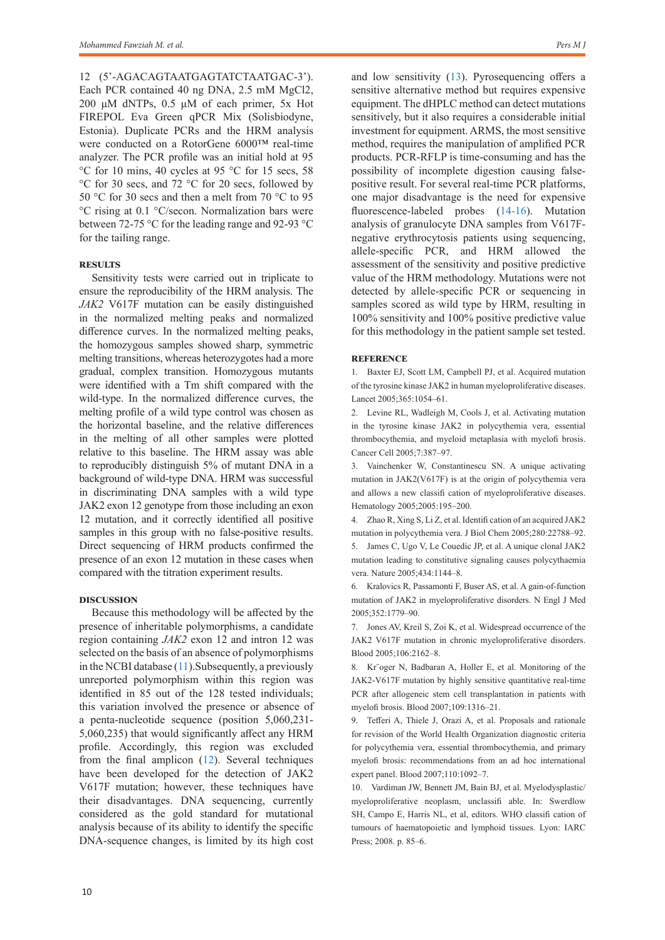12 (5'-AGACAGTAATGAGTATCTAATGAC-3'). Each PCR contained 40 ng DNA, 2.5 mM MgCl2, 200 μM dNTPs, 0.5 μM of each primer, 5x Hot FIREPOL Eva Green qPCR Mix (Solisbiodyne, Estonia). Duplicate PCRs and the HRM analysis were conducted on a RotorGene 6000™ real-time analyzer. The PCR profile was an initial hold at 95 °C for 10 mins, 40 cycles at 95 °C for 15 secs, 58 °C for 30 secs, and 72 °C for 20 secs, followed by 50 °C for 30 secs and then a melt from 70 °C to 95 °C rising at 0.1 °C/secon. Normalization bars were between 72-75 °C for the leading range and 92-93 °C for the tailing range.

#### **Results**

Sensitivity tests were carried out in triplicate to ensure the reproducibility of the HRM analysis. The *JAK2* V617F mutation can be easily distinguished in the normalized melting peaks and normalized difference curves. In the normalized melting peaks, the homozygous samples showed sharp, symmetric melting transitions, whereas heterozygotes had a more gradual, complex transition. Homozygous mutants were identified with a Tm shift compared with the wild-type. In the normalized difference curves, the melting profile of a wild type control was chosen as the horizontal baseline, and the relative differences in the melting of all other samples were plotted relative to this baseline. The HRM assay was able to reproducibly distinguish 5% of mutant DNA in a background of wild-type DNA. HRM was successful in discriminating DNA samples with a wild type JAK2 exon 12 genotype from those including an exon 12 mutation, and it correctly identified all positive samples in this group with no false-positive results. Direct sequencing of HRM products confirmed the presence of an exon 12 mutation in these cases when compared with the titration experiment results.

#### **Discussion**

Because this methodology will be affected by the presence of inheritable polymorphisms, a candidate region containing *JAK2* exon 12 and intron 12 was selected on the basis of an absence of polymorphisms in the NCBI database  $(11)$ . Subsequently, a previously unreported polymorphism within this region was identified in 85 out of the 128 tested individuals; this variation involved the presence or absence of a penta-nucleotide sequence (position 5,060,231- 5,060,235) that would significantly affect any HRM profile. Accordingly, this region was excluded from the final amplicon ([12\)](#page-2-0). Several techniques have been developed for the detection of JAK2 V617F mutation; however, these techniques have their disadvantages. DNA sequencing, currently considered as the gold standard for mutational analysis because of its ability to identify the specific DNA-sequence changes, is limited by its high cost and low sensitivity [\(13](#page-2-0)). Pyrosequencing offers a sensitive alternative method but requires expensive equipment. The dHPLC method can detect mutations sensitively, but it also requires a considerable initial investment for equipment. ARMS, the most sensitive method, requires the manipulation of amplified PCR products. PCR-RFLP is time-consuming and has the possibility of incomplete digestion causing falsepositive result. For several real-time PCR platforms, one major disadvantage is the need for expensive fluorescence-labeled probes ([14-16](#page-2-0)). Mutation analysis of granulocyte DNA samples from V617Fnegative erythrocytosis patients using sequencing, allele-specific PCR, and HRM allowed the assessment of the sensitivity and positive predictive value of the HRM methodology. Mutations were not detected by allele-specific PCR or sequencing in samples scored as wild type by HRM, resulting in 100% sensitivity and 100% positive predictive value for this methodology in the patient sample set tested.

#### **Reference**

<span id="page-1-0"></span>1. Baxter EJ, Scott LM, Campbell PJ, et al. Acquired mutation of the tyrosine kinase JAK2 in human myeloproliferative diseases. Lancet 2005;365:1054–61.

2. Levine RL, Wadleigh M, Cools J, et al. Activating mutation in the tyrosine kinase JAK2 in polycythemia vera, essential thrombocythemia, and myeloid metaplasia with myelofi brosis. Cancer Cell 2005;7:387–97.

3. Vainchenker W, Constantinescu SN. A unique activating mutation in JAK2(V617F) is at the origin of polycythemia vera and allows a new classifi cation of myeloproliferative diseases. Hematology 2005;2005:195–200.

4. Zhao R, Xing S, Li Z, et al. Identifi cation of an acquired JAK2 mutation in polycythemia vera. J Biol Chem 2005;280:22788–92. 5. James C, Ugo V, Le Couedic JP, et al. A unique clonal JAK2 mutation leading to constitutive signaling causes polycythaemia vera. Nature 2005;434:1144–8.

6. Kralovics R, Passamonti F, Buser AS, et al. A gain-of-function mutation of JAK2 in myeloproliferative disorders. N Engl J Med 2005;352:1779–90.

7. Jones AV, Kreil S, Zoi K, et al. Widespread occurrence of the JAK2 V617F mutation in chronic myeloproliferative disorders. Blood 2005;106:2162–8.

8. Kr¨oger N, Badbaran A, Holler E, et al. Monitoring of the JAK2-V617F mutation by highly sensitive quantitative real-time PCR after allogeneic stem cell transplantation in patients with myelofi brosis. Blood 2007;109:1316–21.

9. Tefferi A, Thiele J, Orazi A, et al. Proposals and rationale for revision of the World Health Organization diagnostic criteria for polycythemia vera, essential thrombocythemia, and primary myelofi brosis: recommendations from an ad hoc international expert panel. Blood 2007;110:1092–7.

10. Vardiman JW, Bennett JM, Bain BJ, et al. Myelodysplastic/ myeloproliferative neoplasm, unclassifi able. In: Swerdlow SH, Campo E, Harris NL, et al, editors. WHO classifi cation of tumours of haematopoietic and lymphoid tissues. Lyon: IARC Press; 2008. p. 85–6.